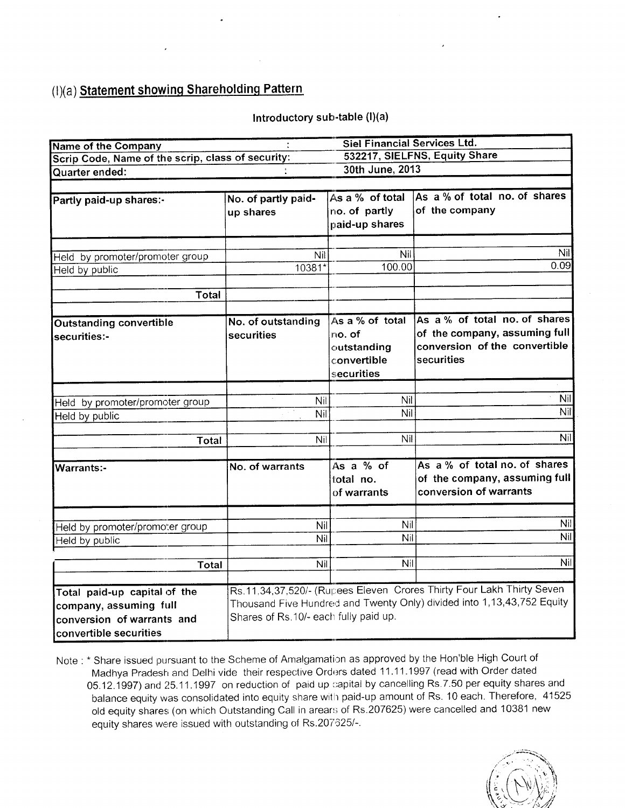### $(l)(a)$  Statement showing Shareholding Pattern

### Introductory sub-table (I)(a)

| <b>Name of the Company</b>                        |                                       | <b>Siel Financial Services Ltd.</b> |                                                                        |
|---------------------------------------------------|---------------------------------------|-------------------------------------|------------------------------------------------------------------------|
| Scrip Code, Name of the scrip, class of security: |                                       |                                     | 532217, SIELFNS, Equity Share                                          |
| Quarter ended:                                    |                                       | 30th June, 2013                     |                                                                        |
|                                                   |                                       |                                     |                                                                        |
| Partly paid-up shares:-                           | No. of partly paid-                   | As a % of total                     | As a % of total no. of shares                                          |
|                                                   | up shares                             | no. of partly                       | of the company                                                         |
|                                                   |                                       | paid-up shares                      |                                                                        |
|                                                   |                                       |                                     | Nil                                                                    |
| Held by promoter/promoter group                   | Nil                                   | Nil                                 | 0.09                                                                   |
| Held by public                                    | 10381*                                | 100.00                              |                                                                        |
| <b>Total</b>                                      |                                       |                                     |                                                                        |
| <b>Outstanding convertible</b>                    | No. of outstanding                    | As a % of total                     | As a % of total no. of shares                                          |
| securities:-                                      | securities                            | no. of                              | of the company, assuming full                                          |
|                                                   |                                       | outstanding                         | conversion of the convertible                                          |
|                                                   |                                       | convertible                         | securities                                                             |
|                                                   |                                       | securities                          |                                                                        |
|                                                   |                                       |                                     |                                                                        |
| Held by promoter/promoter group                   | <b>Nil</b>                            | Nit                                 | Nil                                                                    |
| Held by public                                    | Nil                                   | Nil                                 | Nil                                                                    |
|                                                   | Nil                                   | Nil                                 | Nil                                                                    |
| Total                                             |                                       |                                     |                                                                        |
| <b>Warrants:-</b>                                 | No. of warrants                       | As a % of                           | As a % of total no. of shares                                          |
|                                                   |                                       | total no.<br>of warrants            | of the company, assuming full<br>conversion of warrants                |
|                                                   | Nil                                   | Nil                                 | Nil                                                                    |
| Held by promoter/promoter group                   | Nil                                   | Nil                                 | Nil                                                                    |
| Held by public                                    |                                       |                                     |                                                                        |
| Total                                             | Nil                                   | Nil                                 | Nil                                                                    |
| Total paid-up capital of the                      |                                       |                                     | Rs.11,34,37,520/- (Rupees Eleven Crores Thirty Four Lakh Thirty Seven  |
| company, assuming full                            |                                       |                                     | Thousand Five Hundred and Twenty Only) divided into 1,13,43,752 Equity |
| conversion of warrants and                        | Shares of Rs.10/- each fully paid up. |                                     |                                                                        |
| convertible securities                            |                                       |                                     |                                                                        |
|                                                   |                                       |                                     |                                                                        |

Note : \* Share issued pursuant to the Scheme of Amalgamation as approved by the Hon'ble High Court of Madhya Pradesh and Delhi vide their respective Orders dated 11.11.1997 (read with Order dated 05.12.1997) and 25.11.1997 on reduction of paid up capital by cancelling Rs.7.50 per equity shares and balance equity was consolidated into equity share with paid-up amount of Rs. 10 each. Therefore, 41525 old equity shares (on which Outstanding Call in arears of Rs.207625) were cancelled and 10381 new equity shares were issued with outstanding of Rs.207625/-.

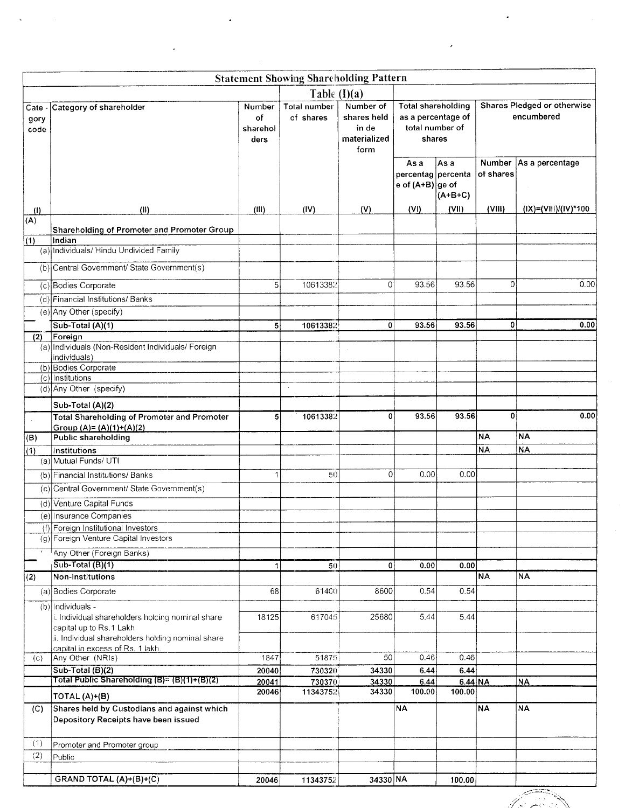|                            |                                                                                     |                                  | <b>Statement Showing Shareholding Pattern</b> |                                                           |                                                                              |                   |                            |                                           |
|----------------------------|-------------------------------------------------------------------------------------|----------------------------------|-----------------------------------------------|-----------------------------------------------------------|------------------------------------------------------------------------------|-------------------|----------------------------|-------------------------------------------|
|                            |                                                                                     |                                  | Table $(I)(a)$                                |                                                           |                                                                              |                   |                            |                                           |
| Cate<br>gory<br>code       | Category of shareholder                                                             | Number<br>of<br>sharehol<br>ders | Total number<br>of shares                     | Number of<br>shares held<br>in de<br>materialized<br>form | <b>Total shareholding</b><br>as a percentage of<br>total number of<br>shares |                   |                            | Shares Pledged or otherwise<br>encumbered |
|                            |                                                                                     |                                  |                                               |                                                           | As a<br>percentag percenta<br>e of $(A+B)$ ge of                             | As a<br>$(A+B+C)$ | <b>Number</b><br>of shares | As a percentage                           |
| $\langle 1 \rangle$<br>(A) | (II)                                                                                | (III)                            | (IV)                                          | (V)                                                       | (VI)                                                                         | (VII)             | (VIII)                     | (IX)=(VIII)/(IV)*100                      |
|                            | Shareholding of Promoter and Promoter Group                                         |                                  |                                               |                                                           |                                                                              |                   |                            |                                           |
| $\overline{(1)}$           | Indian                                                                              |                                  |                                               |                                                           |                                                                              |                   |                            |                                           |
|                            | (a) Individuals/ Hindu Undivided Family                                             |                                  |                                               |                                                           |                                                                              |                   |                            |                                           |
|                            | (b) Central Government/ State Government(s)                                         |                                  |                                               |                                                           |                                                                              |                   |                            |                                           |
|                            | (c) Bodies Corporate                                                                | 5                                | 10613382                                      | $\Omega$                                                  | 93.56                                                                        | 93.56             | 0                          | 0.00                                      |
|                            | (d) Financial Institutions/ Banks                                                   |                                  |                                               |                                                           |                                                                              |                   |                            |                                           |
|                            | (e) Any Other (specify)                                                             |                                  |                                               |                                                           |                                                                              |                   |                            |                                           |
|                            | Sub-Total (A)(1)                                                                    | 5                                | 10613382                                      | 0                                                         | 93.56                                                                        | 93.56             | $\mathbf 0$                | 0.00                                      |
| (2)                        | Foreign<br>(a) Individuals (Non-Resident Individuals/ Foreign                       |                                  |                                               |                                                           |                                                                              |                   |                            |                                           |
|                            | individuals)                                                                        |                                  |                                               |                                                           |                                                                              |                   |                            |                                           |
|                            | (b) Bodies Corporate                                                                |                                  |                                               |                                                           |                                                                              |                   |                            |                                           |
|                            | $(c)$ Institutions<br>(d) Any Other (specify)                                       |                                  |                                               |                                                           |                                                                              |                   |                            |                                           |
|                            | Sub-Total (A)(2)                                                                    |                                  |                                               |                                                           |                                                                              |                   |                            |                                           |
|                            | <b>Total Shareholding of Promoter and Promoter</b>                                  | 5 <sup>1</sup>                   | 10613382                                      | $\mathbf{0}$                                              | 93.56                                                                        | 93.56             | $\overline{0}$             | 0.00                                      |
|                            | Group (A)= (A)(1)+(A)(2)                                                            |                                  |                                               |                                                           |                                                                              |                   |                            |                                           |
| (B)                        | <b>Public shareholding</b>                                                          |                                  |                                               |                                                           |                                                                              |                   | <b>NA</b>                  | NA)                                       |
| (1)                        | Institutions<br>(a) Mutual Funds/ UTI                                               |                                  |                                               |                                                           |                                                                              |                   | <b>NA</b>                  | <b>NA</b>                                 |
|                            | (b) Financial Institutions/ Banks                                                   | 1                                | 50                                            | $\overline{0}$                                            | 0.00                                                                         | 0.00              |                            |                                           |
|                            | (c) Central Government/ State Government(s)                                         |                                  |                                               |                                                           |                                                                              |                   |                            |                                           |
|                            |                                                                                     |                                  |                                               |                                                           |                                                                              |                   |                            |                                           |
|                            | (d) Venture Capital Funds<br>(e) Insurance Companies                                |                                  |                                               |                                                           |                                                                              |                   |                            |                                           |
|                            | (f) Foreign Institutional Investors                                                 |                                  |                                               |                                                           |                                                                              |                   |                            |                                           |
|                            | (g) Foreign Venture Capital Investors                                               |                                  |                                               |                                                           |                                                                              |                   |                            |                                           |
|                            | Any Other (Foreign Banks)                                                           |                                  |                                               |                                                           |                                                                              |                   |                            |                                           |
|                            | $\sqrt{\text{Sub-Total}(\text{B})(1)}$                                              | 1                                | 50                                            | $\overline{0}$                                            | 0.00                                                                         | 0.00              |                            |                                           |
| $\overline{(2)}$           | Non-institutions                                                                    |                                  |                                               |                                                           |                                                                              |                   | <b>NA</b>                  | <b>NA</b>                                 |
|                            | (a) Bodies Corporate                                                                | 68                               | 61400                                         | 8600                                                      | 0.54                                                                         | 0.54              |                            |                                           |
|                            | (b) Individuals -<br>i. Individual shareholders holding nominal share               | 18125                            | 617045                                        | 25680                                                     | 5.44                                                                         | 5.44              |                            |                                           |
|                            | capital up to Rs.1 Lakh.                                                            |                                  |                                               |                                                           |                                                                              |                   |                            |                                           |
|                            | ii. Individual shareholders holding nominal share                                   |                                  |                                               |                                                           |                                                                              |                   |                            |                                           |
| (c)                        | capital in excess of Rs. 1 lakh.<br>Any Other (NRIs)                                | 1847                             | 51875                                         | 50                                                        | 0.46                                                                         | 0.46              |                            |                                           |
|                            | Sub-Total (B)(2)                                                                    | 20040                            | 730320                                        | 34330                                                     | 6.44                                                                         | 6.44              |                            |                                           |
|                            | Total Public Shareholding (B)= (B)(1)+(B)(2)                                        | 20041                            | 730370                                        | 34330                                                     | 6.44                                                                         | 6.44 NA           |                            | <u>NA</u>                                 |
|                            | TOTAL (A)+(B)                                                                       | 20046                            | 11343752                                      | 34330                                                     | 100.00                                                                       | 100.00            |                            |                                           |
| (C)                        | Shares held by Custodians and against which<br>Depository Receipts have been issued |                                  |                                               |                                                           | <b>NA</b>                                                                    |                   | <b>NA</b>                  | NA                                        |
| (1)                        | Promoter and Promoter group                                                         |                                  |                                               |                                                           |                                                                              |                   |                            |                                           |
| (2)                        | Public                                                                              |                                  |                                               |                                                           |                                                                              |                   |                            |                                           |
|                            |                                                                                     |                                  |                                               | 34330 NA                                                  |                                                                              |                   |                            |                                           |
|                            | GRAND TOTAL (A)+(B)+(C)                                                             | 20046                            | 11343752                                      |                                                           |                                                                              | 100.00            |                            |                                           |

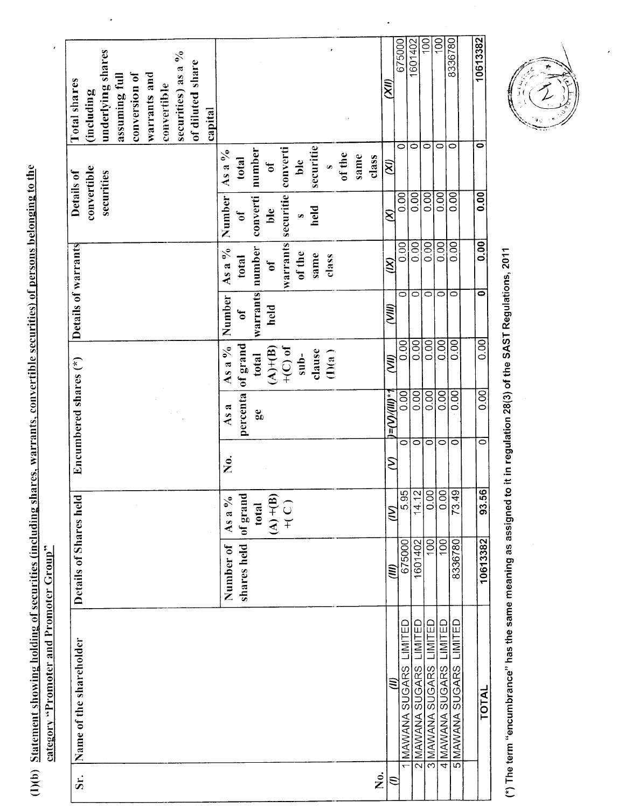| underlying shares<br>securities) as a %<br>conversion of<br>warrants and<br>assuming full<br>convertible<br>(including | of diluted share<br>capital                   |                                                                                      |                               |                         | ΚŇ,                                            | 675000<br>0              | 100<br>1601402<br>$\circ$<br>0                | $\overline{5}$<br>$\circ$                                          | 8336780<br>$\circ$      | 10613382<br>0       |
|------------------------------------------------------------------------------------------------------------------------|-----------------------------------------------|--------------------------------------------------------------------------------------|-------------------------------|-------------------------|------------------------------------------------|--------------------------|-----------------------------------------------|--------------------------------------------------------------------|-------------------------|---------------------|
| convertible<br>securities<br>Details of                                                                                | As a $\%$<br>total<br>Number<br>ð             | converti<br>number<br>ð<br>converti<br>ble                                           | securitie<br>ble<br>held<br>Ø | of the<br>same<br>class | ΚŊ<br>S                                        | $\frac{1}{2}$            | $\overline{0}$<br>0.00                        | 0.00                                                               | 0.00                    | 0.00                |
| Details of warrants                                                                                                    | As a %<br>total<br>Number                     | warrants securitie<br>number<br>$\mathfrak{h}$<br>warrants<br>held<br>$\mathfrak{h}$ | of the<br>same<br>class       |                         | $\widetilde{X}$<br>(NIN)                       | 0.00<br>$\circ$          | 0.00<br>0.00<br>$\overline{\circ}$<br>$\circ$ | 0.00<br>$\overline{\circ}$                                         | 0.00<br>$\circ$         | $\overline{0}$<br>0 |
|                                                                                                                        | As a %                                        | of grand<br>$+$ (C) of<br>$(A)+(B)$<br>total                                         | clause<br>(1)(a)<br>$sub-$    |                         | $\widetilde{\mathcal{N}}$                      | 0.00                     | 0.00<br>0.00                                  | 0.00                                                               | 0.00                    | 0.00                |
| Encumbered shares $(*)$                                                                                                | As a<br>$\frac{\dot{\mathsf{c}}}{\mathsf{z}}$ | percenta<br>$\mathbf{g}_0$                                                           |                               |                         | $\mathcal{L}(\mathbb{H})/\mathbb{W})$ = (<br>ξ | 0.00<br>0                | 0.00<br>$\overline{\circ}$                    | 0.00<br>$\overline{0}$<br>$\overline{\circ}$<br>$\overline{\circ}$ | 0.00<br>$\circ$         | 0.00<br>0           |
|                                                                                                                        | As a $\%$                                     | of grand<br>$(A)+(B)$<br>$+(C)$<br>total                                             |                               |                         | S                                              | 5.95                     | 14.12                                         | 0.00<br>$\frac{0}{0}$                                              | 73.49                   | 93.56               |
| Details of Shares held                                                                                                 | Number of                                     | shares held                                                                          |                               |                         | $\equiv$                                       | 675000                   | 1601402                                       | 100<br>100                                                         | 8336780                 | 10613382            |
| Name of the shareholder                                                                                                |                                               |                                                                                      |                               |                         | (II)                                           | LIMITED<br>MAWANA SUGARS | MNITED<br>2 MAWANA SUGARS                     | LIMITED<br>LIMITED<br>3 MAWANA SUGARS<br>4 MAWANA SUGARS           | 5 MAWANA SUGARS LIMITED | <b>TOTAL</b>        |
| .<br>Sr.                                                                                                               |                                               |                                                                                      |                               |                         | ف<br>Z                                         |                          |                                               |                                                                    |                         |                     |

(\*) The term "encumbrance" has the same meaning as assigned to it in regulation 28(3) of the SAST Regulations, 2011



(I)(b) Statement showing holding of securities (including shares, warrants, convertible securities) of persons belonging to the

 $\ddot{\phantom{0}}$ 

category "Promoter and Promoter Group"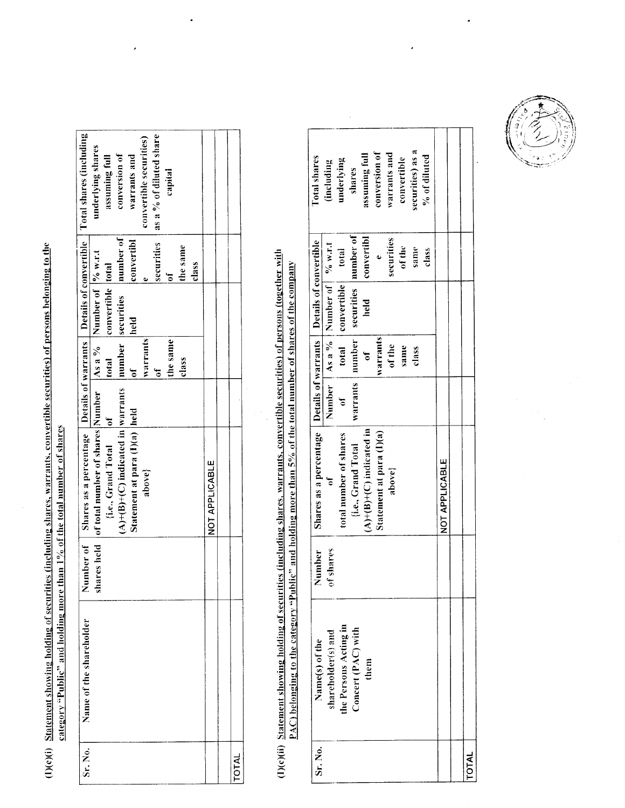(I)(c)(i) Statement showing holding of securities (including shares, warrants, convertible securities) of persons belonging to the category "Public" and holding more than 1% of the total number of shares

| Sr. No.    | Name of the shareholder | mber of   Shares as a percentage   Details of warrants   Details of convertible   Total shares (including                                            |                         |                   |              |                         |
|------------|-------------------------|------------------------------------------------------------------------------------------------------------------------------------------------------|-------------------------|-------------------|--------------|-------------------------|
|            |                         | Number of Shares as a percentage Details of warrants Details of convertible<br>shares held of total number of shares Number As a % Number of % w.r.t |                         |                   |              | underlying shares       |
|            |                         | ${i.e., Grand Total$ of                                                                                                                              | total                   | convertible total |              | assuming full           |
|            |                         | $(A)+(B)+(C)$ indicated in warrants                                                                                                                  |                         | number securities | number of    | conversion of           |
|            |                         | Statement at para (I)(a) held                                                                                                                        | $\overline{\mathsf{d}}$ | held              | convertibl   | warrants and            |
|            |                         | above?                                                                                                                                               | <i>warrants</i>         |                   |              | convertible securities) |
|            |                         |                                                                                                                                                      | F                       |                   | securities   | as a % of diluted share |
|            |                         |                                                                                                                                                      | the same                |                   | $\mathbf{d}$ | capital                 |
|            |                         |                                                                                                                                                      | class                   |                   | the same     |                         |
|            |                         |                                                                                                                                                      |                         |                   | class        |                         |
|            |                         | NOT APPLICABLE                                                                                                                                       |                         |                   |              |                         |
|            |                         |                                                                                                                                                      |                         |                   |              |                         |
| <b>NTO</b> |                         |                                                                                                                                                      |                         |                   |              |                         |
|            |                         |                                                                                                                                                      |                         |                   |              |                         |

## (I)(c)(ii) Statement showing holding of securities (including shares, warrants, convertible securities) of persons (together with PAC) belonging to the category "Public" and holding more than 5% of the total number of shares of the company

| Sri. No.     | Name(s) of the        | <b>Number</b> | Shares as a percentage   Details of warrants   Details of convertible |              |                        |                                             |            | Total shares     |
|--------------|-----------------------|---------------|-----------------------------------------------------------------------|--------------|------------------------|---------------------------------------------|------------|------------------|
|              | shareholder(s) and    | of shares     | Ğ                                                                     |              |                        | Number   As a $\%$   Number of   $\%$ w.r.t |            | (including       |
|              | the Persons Acting in |               | total number of shares                                                | $\mathbf{d}$ |                        | total convertible total                     |            | underlying       |
|              | Concert (PAC) with    |               | [i.e., Grand Total                                                    | warrants i   | number                 | securities number of                        |            | shares           |
|              | them                  |               | $(A)+(B)+(C)$ indicated in                                            |              | $\overline{\text{of}}$ | held                                        | convertibl | assuming full    |
|              |                       |               | Statement at para (I)(a)                                              |              | warrants               |                                             |            | conversion of    |
|              |                       |               | above}                                                                |              | of the                 |                                             | securities | warrants and     |
|              |                       |               |                                                                       |              | same                   |                                             | of the     | convertible      |
|              |                       |               |                                                                       |              | class                  |                                             | same       | securities) as a |
|              |                       |               |                                                                       |              |                        |                                             | class      | $\%$ of diluted  |
|              |                       |               | NOT APPLICABLE                                                        |              |                        |                                             |            |                  |
|              |                       |               |                                                                       |              |                        |                                             |            |                  |
| <b>TOTAL</b> |                       |               |                                                                       |              |                        |                                             |            |                  |

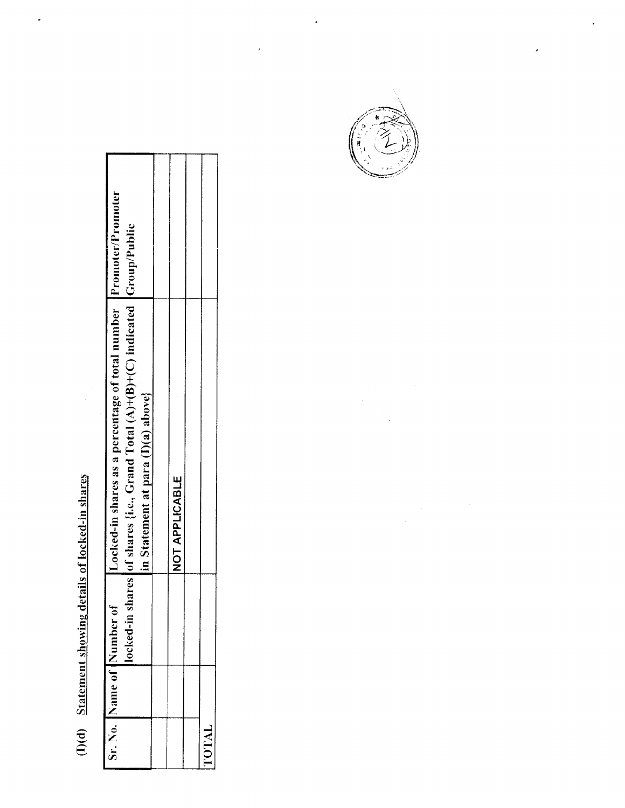# (I)(d) Statement showing details of locked-in shares

 $\ddot{\phantom{0}}$ 

|       | Sr. No. Name of Number of | Locked-in shares as a percentage of total number Promoter/Promoter        |  |
|-------|---------------------------|---------------------------------------------------------------------------|--|
|       | locked-in sh              | ares of shares {i.e., Grand Total $(A)+(B)+(C)$ indicated $[Group/Public$ |  |
|       |                           | in Statement at para (I)(a) above}                                        |  |
|       |                           |                                                                           |  |
|       |                           | NOT APPLICABLE                                                            |  |
|       |                           |                                                                           |  |
| TOTAL |                           |                                                                           |  |

 $\hat{\mathcal{I}}$ 

ï

 $\cdot$ 

,